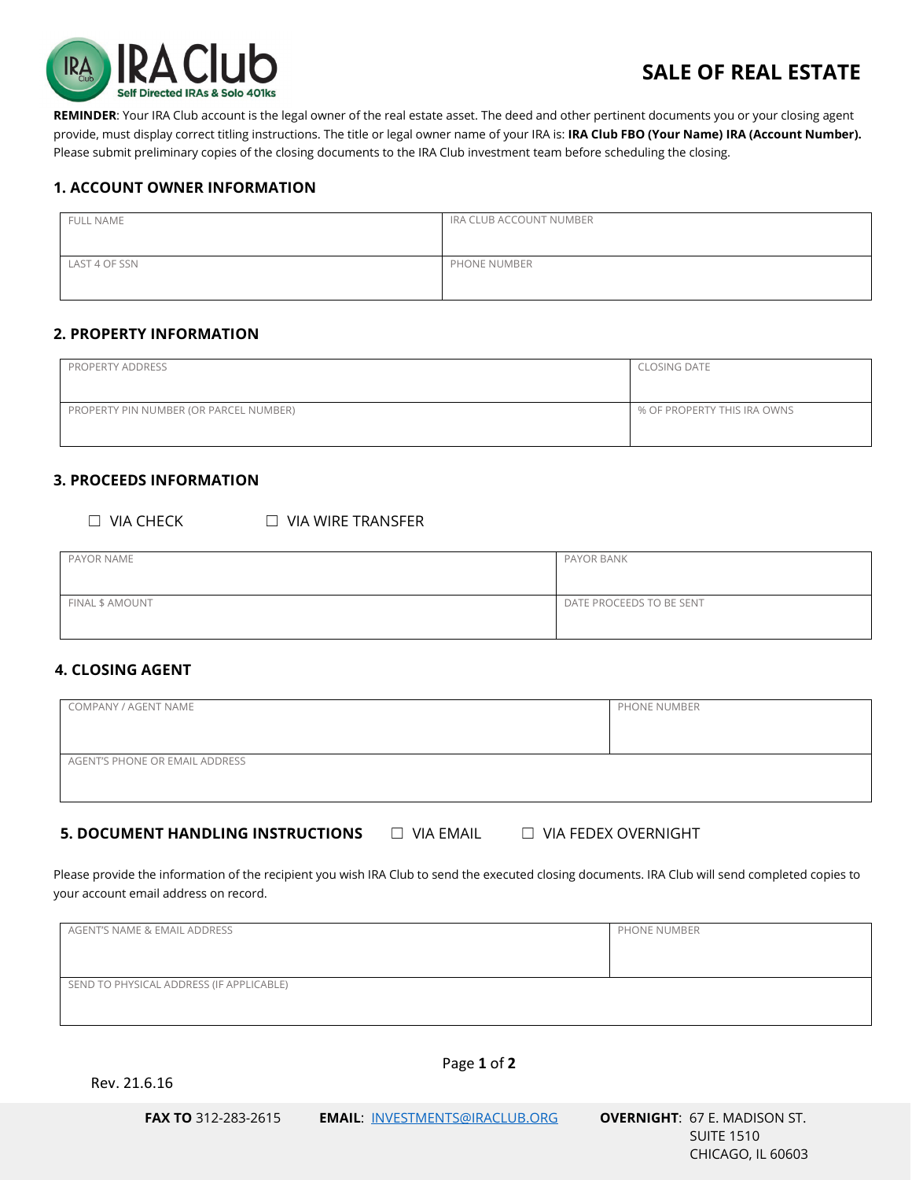

# **SALE OF REAL ESTATE**

**REMINDER**: Your IRA Club account is the legal owner of the real estate asset. The deed and other pertinent documents you or your closing agent provide, must display correct titling instructions. The title or legal owner name of your IRA is: **IRA Club FBO (Your Name) IRA (Account Number).**  Please submit preliminary copies of the closing documents to the IRA Club investment team before scheduling the closing.

# **1. ACCOUNT OWNER INFORMATION**

| <b>FULL NAME</b> | IRA CLUB ACCOUNT NUMBER |
|------------------|-------------------------|
| LAST 4 OF SSN    | PHONE NUMBER            |

#### **2. PROPERTY INFORMATION**

| PROPERTY ADDRESS                       | <b>CLOSING DATE</b>         |
|----------------------------------------|-----------------------------|
| PROPERTY PIN NUMBER (OR PARCEL NUMBER) | % OF PROPERTY THIS IRA OWNS |

#### **3. PROCEEDS INFORMATION**

#### ☐ VIA CHECK ☐ VIA WIRE TRANSFER

| PAYOR NAME             | PAYOR BANK               |
|------------------------|--------------------------|
| <b>FINAL \$ AMOUNT</b> | DATE PROCEEDS TO BE SENT |

## **4. CLOSING AGENT**

| COMPANY / AGENT NAME           | PHONE NUMBER |
|--------------------------------|--------------|
|                                |              |
|                                |              |
| AGENT'S PHONE OR EMAIL ADDRESS |              |
|                                |              |
|                                |              |

## **5. DOCUMENT HANDLING INSTRUCTIONS** □ VIA EMAIL □ VIA FEDEX OVERNIGHT

Please provide the information of the recipient you wish IRA Club to send the executed closing documents. IRA Club will send completed copies to your account email address on record.

| AGENT'S NAME & EMAIL ADDRESS             | PHONE NUMBER |
|------------------------------------------|--------------|
|                                          |              |
|                                          |              |
| SEND TO PHYSICAL ADDRESS (IF APPLICABLE) |              |
|                                          |              |
|                                          |              |